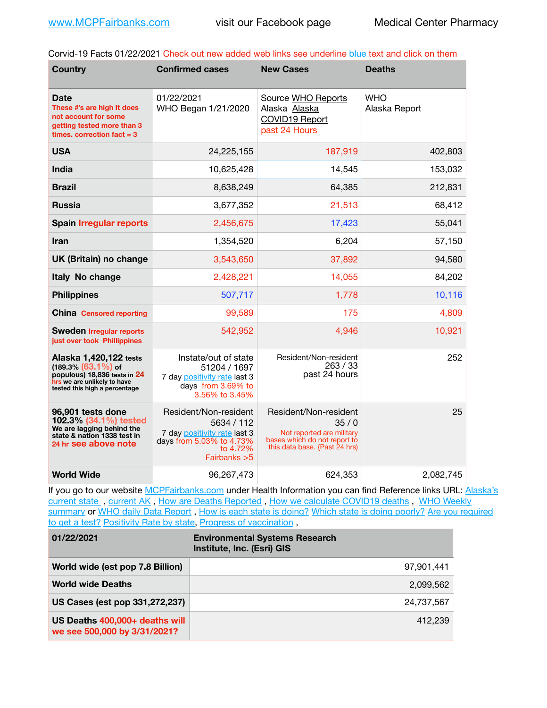Corvid-19 Facts 01/22/2021 Check out new added web links see underline blue text and click on them

| <b>Country</b>                                                                                                                                   | <b>Confirmed cases</b>                                                                                                       | <b>New Cases</b>                                                                                                            | <b>Deaths</b>               |
|--------------------------------------------------------------------------------------------------------------------------------------------------|------------------------------------------------------------------------------------------------------------------------------|-----------------------------------------------------------------------------------------------------------------------------|-----------------------------|
| <b>Date</b><br>These #'s are high It does<br>not account for some<br>getting tested more than 3<br>times. correction $fact = 3$                  | 01/22/2021<br>WHO Began 1/21/2020                                                                                            | Source WHO Reports<br>Alaska Alaska<br>COVID19 Report<br>past 24 Hours                                                      | <b>WHO</b><br>Alaska Report |
| <b>USA</b>                                                                                                                                       | 24,225,155                                                                                                                   | 187,919                                                                                                                     | 402,803                     |
| <b>India</b>                                                                                                                                     | 10,625,428                                                                                                                   | 14,545                                                                                                                      | 153,032                     |
| <b>Brazil</b>                                                                                                                                    | 8,638,249                                                                                                                    | 64,385                                                                                                                      | 212,831                     |
| <b>Russia</b>                                                                                                                                    | 3,677,352                                                                                                                    | 21,513                                                                                                                      | 68,412                      |
| <b>Spain Irregular reports</b>                                                                                                                   | 2,456,675                                                                                                                    | 17,423                                                                                                                      | 55,041                      |
| Iran                                                                                                                                             | 1,354,520                                                                                                                    | 6,204                                                                                                                       | 57,150                      |
| UK (Britain) no change                                                                                                                           | 3,543,650                                                                                                                    | 37,892                                                                                                                      | 94,580                      |
| Italy No change                                                                                                                                  | 2,428,221                                                                                                                    | 14,055                                                                                                                      | 84,202                      |
| <b>Philippines</b>                                                                                                                               | 507,717                                                                                                                      | 1,778                                                                                                                       | 10,116                      |
| <b>China Censored reporting</b>                                                                                                                  | 99,589                                                                                                                       | 175                                                                                                                         | 4,809                       |
| <b>Sweden Irregular reports</b><br>just over took Phillippines                                                                                   | 542,952                                                                                                                      | 4,946                                                                                                                       | 10,921                      |
| Alaska 1,420,122 tests<br>$(189.3\%)(63.1\%)$ of<br>populous) 18,836 tests in 24<br>hrs we are unlikely to have<br>tested this high a percentage | Instate/out of state<br>51204 / 1697<br>7 day positivity rate last 3<br>days from 3.69% to<br>3.56% to 3.45%                 | Resident/Non-resident<br>263 / 33<br>past 24 hours                                                                          | 252                         |
| 96,901 tests done<br>102.3% (34.1%) tested<br>We are lagging behind the<br>state & nation 1338 test in<br>24 hr see above note                   | Resident/Non-resident<br>5634 / 112<br>7 day positivity rate last 3<br>days from 5.03% to 4.73%<br>to 4.72%<br>Fairbanks > 5 | Resident/Non-resident<br>35/0<br>Not reported are military<br>bases which do not report to<br>this data base. {Past 24 hrs} | 25                          |
| <b>World Wide</b>                                                                                                                                | 96,267,473                                                                                                                   | 624,353                                                                                                                     | 2,082,745                   |

If you go to our website [MCPFairbanks.com](http://www.MCPFairbanks.com) under Health Information you can find Reference links URL: Alaska's current state, current AK, [How are Deaths Reported](http://dhss.alaska.gov/dph/Epi/id/Pages/COVID-19/deathcounts.aspx), [How we calculate COVID19 deaths](https://coronavirus-response-alaska-dhss.hub.arcgis.com/search?collection=Document&groupIds=41ccb3344ebc4bd682c74073eba21f42), WHO Weekly [summary](http://www.who.int) or [WHO daily Data Report](https://covid19.who.int/table), [How is each state is doing?](https://www.msn.com/en-us/news/us/state-by-state-coronavirus-news/ar-BB13E1PX?fbclid=IwAR0_OBJH7lSyTN3ug_MsOeFnNgB1orTa9OBgilKJ7dhnwlVvHEsptuKkj1c) [Which state is doing poorly?](https://bestlifeonline.com/covid-outbreak-your-state/?utm_source=nsltr&utm_medium=email&utm_content=covid-outbreak-your-state&utm_campaign=launch) Are you required [to get a test?](http://dhss.alaska.gov/dph/Epi/id/SiteAssets/Pages/HumanCoV/Whattodoafteryourtest.pdf) [Positivity Rate by state](https://coronavirus.jhu.edu/testing/individual-states/alaska), [Progress of vaccination](https://covid.cdc.gov/covid-data-tracker/#vaccinations),

| 01/22/2021                                                     | <b>Environmental Systems Research</b><br>Institute, Inc. (Esri) GIS |
|----------------------------------------------------------------|---------------------------------------------------------------------|
| World wide (est pop 7.8 Billion)                               | 97.901.441                                                          |
| <b>World wide Deaths</b>                                       | 2.099.562                                                           |
| US Cases (est pop 331,272,237)                                 | 24,737,567                                                          |
| US Deaths 400,000+ deaths will<br>we see 500,000 by 3/31/2021? | 412.239                                                             |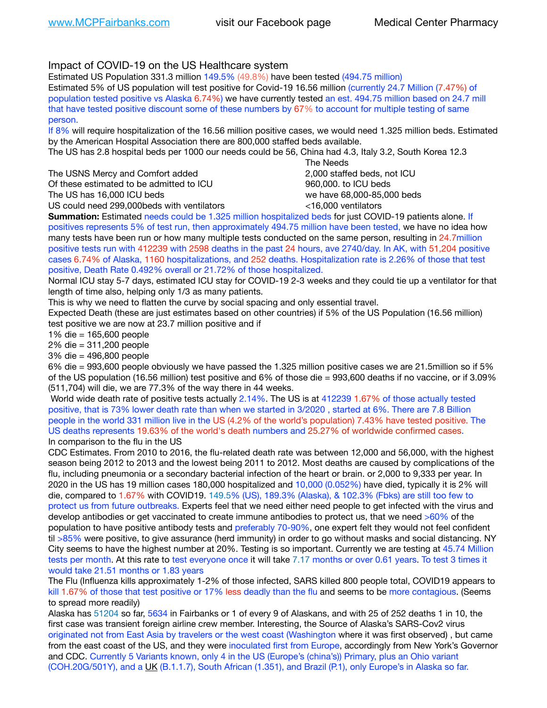## Impact of COVID-19 on the US Healthcare system

Estimated US Population 331.3 million 149.5% (49.8%) have been tested (494.75 million)

Estimated 5% of US population will test positive for Covid-19 16.56 million (currently 24.7 Million (7.47%) of population tested positive vs Alaska 6.74%) we have currently tested an est. 494.75 million based on 24.7 mill that have tested positive discount some of these numbers by 67% to account for multiple testing of same person.

If 8% will require hospitalization of the 16.56 million positive cases, we would need 1.325 million beds. Estimated by the American Hospital Association there are 800,000 staffed beds available.

The US has 2.8 hospital beds per 1000 our needs could be 56, China had 4.3, Italy 3.2, South Korea 12.3

The USNS Mercy and Comfort added **8.2000** staffed beds, not ICU Of these estimated to be admitted to ICU 960,000, to ICU beds The US has 16,000 ICU beds we have 68,000-85,000 beds US could need 299,000 beds with ventilators  $\leq 16,000$  ventilators

 The Needs

**Summation:** Estimated needs could be 1.325 million hospitalized beds for just COVID-19 patients alone. If positives represents 5% of test run, then approximately 494.75 million have been tested, we have no idea how many tests have been run or how many multiple tests conducted on the same person, resulting in 24.7million positive tests run with 412239 with 2598 deaths in the past 24 hours, ave 2740/day. In AK, with 51,204 positive cases 6.74% of Alaska, 1160 hospitalizations, and 252 deaths. Hospitalization rate is 2.26% of those that test positive, Death Rate 0.492% overall or 21.72% of those hospitalized.

Normal ICU stay 5-7 days, estimated ICU stay for COVID-19 2-3 weeks and they could tie up a ventilator for that length of time also, helping only 1/3 as many patients.

This is why we need to flatten the curve by social spacing and only essential travel.

Expected Death (these are just estimates based on other countries) if 5% of the US Population (16.56 million) test positive we are now at 23.7 million positive and if

1% die = 165,600 people

2% die = 311,200 people

3% die = 496,800 people

6% die = 993,600 people obviously we have passed the 1.325 million positive cases we are 21.5million so if 5% of the US population (16.56 million) test positive and 6% of those die = 993,600 deaths if no vaccine, or if 3.09% (511,704) will die, we are 77.3% of the way there in 44 weeks.

 World wide death rate of positive tests actually 2.14%. The US is at 412239 1.67% of those actually tested positive, that is 73% lower death rate than when we started in 3/2020 , started at 6%. There are 7.8 Billion people in the world 331 million live in the US (4.2% of the world's population) 7.43% have tested positive. The US deaths represents 19.63% of the world's death numbers and 25.27% of worldwide confirmed cases. In comparison to the flu in the US

CDC Estimates. From 2010 to 2016, the flu-related death rate was between 12,000 and 56,000, with the highest season being 2012 to 2013 and the lowest being 2011 to 2012. Most deaths are caused by complications of the flu, including pneumonia or a secondary bacterial infection of the heart or brain. or 2,000 to 9,333 per year. In 2020 in the US has 19 million cases 180,000 hospitalized and 10,000 (0.052%) have died, typically it is 2% will die, compared to 1.67% with COVID19. 149.5% (US), 189.3% (Alaska), & 102.3% (Fbks) are still too few to protect us from future outbreaks. Experts feel that we need either need people to get infected with the virus and develop antibodies or get vaccinated to create immune antibodies to protect us, that we need >60% of the population to have positive antibody tests and preferably 70-90%, one expert felt they would not feel confident til >85% were positive, to give assurance (herd immunity) in order to go without masks and social distancing. NY City seems to have the highest number at 20%. Testing is so important. Currently we are testing at 45.74 Million tests per month. At this rate to test everyone once it will take 7.17 months or over 0.61 years. To test 3 times it would take 21.51 months or 1.83 years

The Flu (Influenza kills approximately 1-2% of those infected, SARS killed 800 people total, COVID19 appears to kill 1.67% of those that test positive or 17% less deadly than the flu and seems to be more contagious. (Seems to spread more readily)

Alaska has 51204 so far, 5634 in Fairbanks or 1 of every 9 of Alaskans, and with 25 of 252 deaths 1 in 10, the first case was transient foreign airline crew member. Interesting, the Source of Alaska's SARS-Cov2 virus originated not from East Asia by travelers or the west coast (Washington where it was first observed) , but came from the east coast of the US, and they were inoculated first from Europe, accordingly from New York's Governor and CDC. Currently 5 Variants known, only 4 in the US (Europe's (china's)) Primary, plus an Ohio variant (COH.20G/501Y), and a [UK](https://www.cdc.gov/coronavirus/2019-ncov/transmission/variant-cases.html) (B.1.1.7), South African (1.351), and Brazil (P.1), only Europe's in Alaska so far.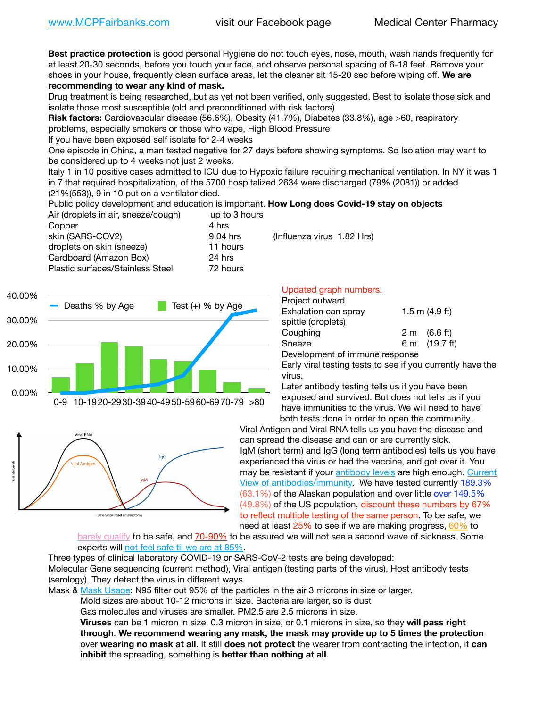**Best practice protection** is good personal Hygiene do not touch eyes, nose, mouth, wash hands frequently for at least 20-30 seconds, before you touch your face, and observe personal spacing of 6-18 feet. Remove your shoes in your house, frequently clean surface areas, let the cleaner sit 15-20 sec before wiping off. **We are recommending to wear any kind of mask.**

Drug treatment is being researched, but as yet not been verified, only suggested. Best to isolate those sick and isolate those most susceptible (old and preconditioned with risk factors)

**Risk factors:** Cardiovascular disease (56.6%), Obesity (41.7%), Diabetes (33.8%), age >60, respiratory problems, especially smokers or those who vape, High Blood Pressure

If you have been exposed self isolate for 2-4 weeks

One episode in China, a man tested negative for 27 days before showing symptoms. So Isolation may want to be considered up to 4 weeks not just 2 weeks.

Italy 1 in 10 positive cases admitted to ICU due to Hypoxic failure requiring mechanical ventilation. In NY it was 1 in 7 that required hospitalization, of the 5700 hospitalized 2634 were discharged (79% (2081)) or added (21%(553)), 9 in 10 put on a ventilator died.

Public policy development and education is important. **How Long does Covid-19 stay on objects**

| up to 3 hours |                            |
|---------------|----------------------------|
| 4 hrs         |                            |
| 9.04 hrs      | (Influenza virus 1.82 Hrs) |
| 11 hours      |                            |
| 24 hrs        |                            |
| 72 hours      |                            |
|               |                            |





## Updated graph numbers.

| Project outward                |                        |
|--------------------------------|------------------------|
| Exhalation can spray           | $1.5$ m $(4.9$ ft)     |
| spittle (droplets)             |                        |
| Coughing                       | $2 \text{ m}$ (6.6 ft) |
| Sneeze                         | 6 m (19.7 ft)          |
| Development of immune response |                        |

Early viral testing tests to see if you currently have the virus.

Later antibody testing tells us if you have been exposed and survived. But does not tells us if you have immunities to the virus. We will need to have both tests done in order to open the community..

Viral Antigen and Viral RNA tells us you have the disease and can spread the disease and can or are currently sick. IgM (short term) and IgG (long term antibodies) tells us you have experienced the virus or had the vaccine, and got over it. You may be resistant if your [antibody levels](https://www.cdc.gov/coronavirus/2019-ncov/lab/resources/antibody-tests.html) are high enough. [Current](https://l.facebook.com/l.php?u=https://www.itv.com/news/2020-10-26/covid-19-antibody-levels-reduce-over-time-study-finds?fbclid=IwAR3Dapzh1qIH1EIOdUQI2y8THf7jfA4KBCaJz8Qg-8xe1YsrR4nsAHDIXSY&h=AT30nut8pkqp0heVuz5W2rT2WFFm-2Ab52BsJxZZCNlGsX58IpPkuVEPULbIUV_M16MAukx1Kwb657DPXxsgDN1rpOQ4gqBtQsmVYiWpnHPJo2RQsU6CPMd14lgLnQnFWxfVi6zvmw&__tn__=-UK-R&c%5B0%5D=AT1GaRAfR_nGAyqcn7TI1-PpvqOqEKXHnz6TDWvRStMnOSH7boQDvTiwTOc6VId9UES6LKiOmm2m88wKCoolkJyOFvakt2Z1Mw8toYWGGoWW23r0MNVBl7cYJXB_UOvGklNHaNnaNr1_S7NhT3BSykNOBg) [View of antibodies/immunity](https://www.livescience.com/antibodies.html)[.](https://www.itv.com/news/2020-10-26/covid-19-antibody-levels-reduce-over-time-study-finds) We have tested currently 189.3% (63.1%) of the Alaskan population and over little over 149.5% (49.8%) of the US population, discount these numbers by 67% to reflect multiple testing of the same person. To be safe, we need at least 25% to see if we are making progress, [60%](https://www.jhsph.edu/covid-19/articles/achieving-herd-immunity-with-covid19.html) to

[barely qualify](https://www.nature.com/articles/d41586-020-02948-4) to be safe, and [70-90%](https://www.mayoclinic.org/herd-immunity-and-coronavirus/art-20486808) to be assured we will not see a second wave of sickness. Some experts will [not feel safe til we are at 85%](https://www.bannerhealth.com/healthcareblog/teach-me/what-is-herd-immunity).

Three types of clinical laboratory COVID-19 or SARS-CoV-2 tests are being developed:

Molecular Gene sequencing (current method), Viral antigen (testing parts of the virus), Host antibody tests (serology). They detect the virus in different ways.

Mask & [Mask Usage:](https://www.nationalgeographic.com/history/2020/03/how-cities-flattened-curve-1918-spanish-flu-pandemic-coronavirus/) N95 filter out 95% of the particles in the air 3 microns in size or larger.

Mold sizes are about 10-12 microns in size. Bacteria are larger, so is dust

Gas molecules and viruses are smaller. PM2.5 are 2.5 microns in size.

**Viruses** can be 1 micron in size, 0.3 micron in size, or 0.1 microns in size, so they **will pass right through**. **We recommend wearing any mask, the mask may provide up to 5 times the protection** over **wearing no mask at all**. It still **does not protect** the wearer from contracting the infection, it **can inhibit** the spreading, something is **better than nothing at all**.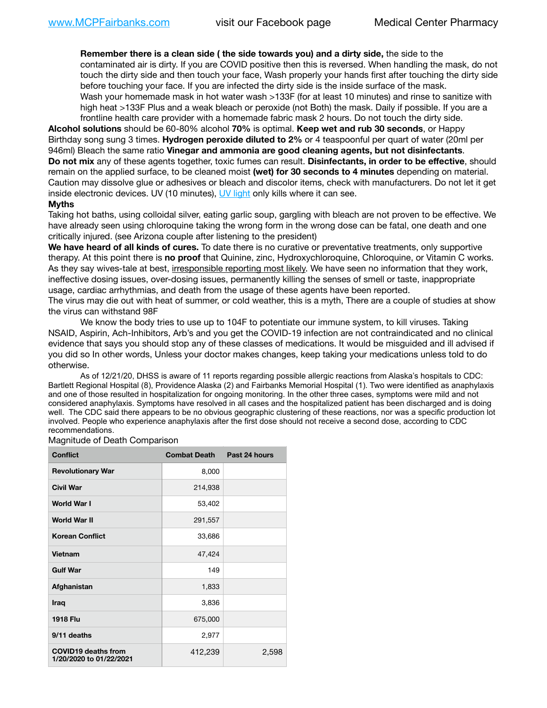**Remember there is a clean side ( the side towards you) and a dirty side,** the side to the contaminated air is dirty. If you are COVID positive then this is reversed. When handling the mask, do not touch the dirty side and then touch your face, Wash properly your hands first after touching the dirty side before touching your face. If you are infected the dirty side is the inside surface of the mask. Wash your homemade mask in hot water wash >133F (for at least 10 minutes) and rinse to sanitize with high heat >133F Plus and a weak bleach or peroxide (not Both) the mask. Daily if possible. If you are a frontline health care provider with a homemade fabric mask 2 hours. Do not touch the dirty side.

**Alcohol solutions** should be 60-80% alcohol **70%** is optimal. **Keep wet and rub 30 seconds**, or Happy Birthday song sung 3 times. **Hydrogen peroxide diluted to 2%** or 4 teaspoonful per quart of water (20ml per 946ml) Bleach the same ratio **Vinegar and ammonia are good cleaning agents, but not disinfectants**. **Do not mix** any of these agents together, toxic fumes can result. **Disinfectants, in order to be effective**, should remain on the applied surface, to be cleaned moist **(wet) for 30 seconds to 4 minutes** depending on material. Caution may dissolve glue or adhesives or bleach and discolor items, check with manufacturers. Do not let it get inside electronic devices. UV (10 minutes), [UV light](http://www.docreviews.me/best-uv-boxes-2020/?fbclid=IwAR3bvFtXB48OoBBSvYvTEnKuHNPbipxM6jUo82QUSw9wckxjC7wwRZWabGw) only kills where it can see.

## **Myths**

Taking hot baths, using colloidal silver, eating garlic soup, gargling with bleach are not proven to be effective. We have already seen using chloroquine taking the wrong form in the wrong dose can be fatal, one death and one critically injured. (see Arizona couple after listening to the president)

**We have heard of all kinds of cures.** To date there is no curative or preventative treatments, only supportive therapy. At this point there is **no proof** that Quinine, zinc, Hydroxychloroquine, Chloroquine, or Vitamin C works. As they say wives-tale at best, irresponsible reporting most likely. We have seen no information that they work, ineffective dosing issues, over-dosing issues, permanently killing the senses of smell or taste, inappropriate usage, cardiac arrhythmias, and death from the usage of these agents have been reported.

The virus may die out with heat of summer, or cold weather, this is a myth, There are a couple of studies at show the virus can withstand 98F

We know the body tries to use up to 104F to potentiate our immune system, to kill viruses. Taking NSAID, Aspirin, Ach-Inhibitors, Arb's and you get the COVID-19 infection are not contraindicated and no clinical evidence that says you should stop any of these classes of medications. It would be misguided and ill advised if you did so In other words, Unless your doctor makes changes, keep taking your medications unless told to do otherwise.

As of 12/21/20, DHSS is aware of 11 reports regarding possible allergic reactions from Alaska's hospitals to CDC: Bartlett Regional Hospital (8), Providence Alaska (2) and Fairbanks Memorial Hospital (1). Two were identified as anaphylaxis and one of those resulted in hospitalization for ongoing monitoring. In the other three cases, symptoms were mild and not considered anaphylaxis. Symptoms have resolved in all cases and the hospitalized patient has been discharged and is doing well. The CDC said there appears to be no obvious geographic clustering of these reactions, nor was a specific production lot involved. People who experience anaphylaxis after the first dose should not receive a second dose, according to CDC recommendations.

Magnitude of Death Comparison

| <b>Conflict</b>                                       | <b>Combat Death</b> | Past 24 hours |
|-------------------------------------------------------|---------------------|---------------|
| <b>Revolutionary War</b>                              | 8,000               |               |
| <b>Civil War</b>                                      | 214,938             |               |
| <b>World War I</b>                                    | 53,402              |               |
| <b>World War II</b>                                   | 291,557             |               |
| <b>Korean Conflict</b>                                | 33,686              |               |
| <b>Vietnam</b>                                        | 47,424              |               |
| <b>Gulf War</b>                                       | 149                 |               |
| Afghanistan                                           | 1,833               |               |
| Iraq                                                  | 3,836               |               |
| <b>1918 Flu</b>                                       | 675,000             |               |
| 9/11 deaths                                           | 2,977               |               |
| <b>COVID19 deaths from</b><br>1/20/2020 to 01/22/2021 | 412,239             | 2,598         |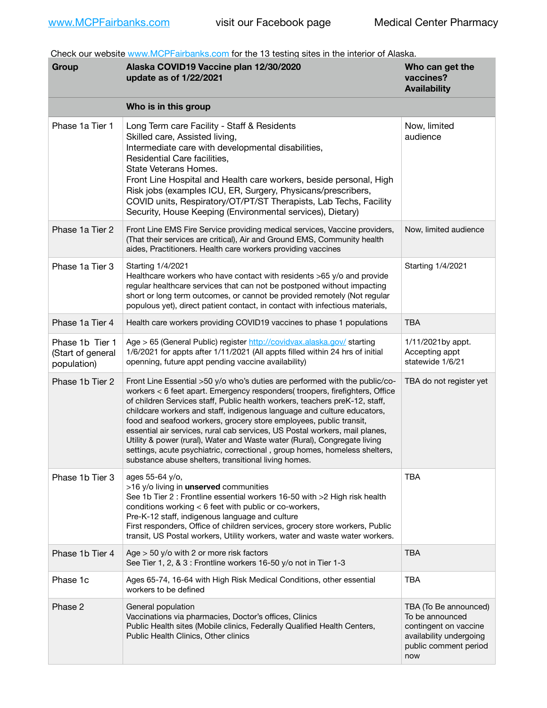Check our website [www.MCPFairbanks.com](http://www.MCPFairbanks.com) for the 13 testing sites in the interior of Alaska.

| Group                                               | Alaska COVID19 Vaccine plan 12/30/2020<br>update as of 1/22/2021                                                                                                                                                                                                                                                                                                                                                                                                                                                                                                                                                                                                                              | Who can get the<br>vaccines?<br><b>Availability</b>                                                                          |
|-----------------------------------------------------|-----------------------------------------------------------------------------------------------------------------------------------------------------------------------------------------------------------------------------------------------------------------------------------------------------------------------------------------------------------------------------------------------------------------------------------------------------------------------------------------------------------------------------------------------------------------------------------------------------------------------------------------------------------------------------------------------|------------------------------------------------------------------------------------------------------------------------------|
|                                                     | Who is in this group                                                                                                                                                                                                                                                                                                                                                                                                                                                                                                                                                                                                                                                                          |                                                                                                                              |
| Phase 1a Tier 1                                     | Long Term care Facility - Staff & Residents<br>Skilled care, Assisted living,<br>Intermediate care with developmental disabilities,<br>Residential Care facilities,<br>State Veterans Homes.<br>Front Line Hospital and Health care workers, beside personal, High<br>Risk jobs (examples ICU, ER, Surgery, Physicans/prescribers,<br>COVID units, Respiratory/OT/PT/ST Therapists, Lab Techs, Facility<br>Security, House Keeping (Environmental services), Dietary)                                                                                                                                                                                                                         | Now, limited<br>audience                                                                                                     |
| Phase 1a Tier 2                                     | Front Line EMS Fire Service providing medical services, Vaccine providers,<br>(That their services are critical), Air and Ground EMS, Community health<br>aides, Practitioners. Health care workers providing vaccines                                                                                                                                                                                                                                                                                                                                                                                                                                                                        | Now, limited audience                                                                                                        |
| Phase 1a Tier 3                                     | Starting 1/4/2021<br>Healthcare workers who have contact with residents >65 y/o and provide<br>regular healthcare services that can not be postponed without impacting<br>short or long term outcomes, or cannot be provided remotely (Not regular<br>populous yet), direct patient contact, in contact with infectious materials,                                                                                                                                                                                                                                                                                                                                                            | Starting 1/4/2021                                                                                                            |
| Phase 1a Tier 4                                     | Health care workers providing COVID19 vaccines to phase 1 populations                                                                                                                                                                                                                                                                                                                                                                                                                                                                                                                                                                                                                         | <b>TBA</b>                                                                                                                   |
| Phase 1b Tier 1<br>(Start of general<br>population) | Age > 65 (General Public) register http://covidvax.alaska.gov/ starting<br>1/6/2021 for appts after 1/11/2021 (All appts filled within 24 hrs of initial<br>openning, future appt pending vaccine availability)                                                                                                                                                                                                                                                                                                                                                                                                                                                                               | 1/11/2021by appt.<br>Accepting appt<br>statewide 1/6/21                                                                      |
| Phase 1b Tier 2                                     | Front Line Essential >50 y/o who's duties are performed with the public/co-<br>workers < 6 feet apart. Emergency responders( troopers, firefighters, Office<br>of children Services staff, Public health workers, teachers preK-12, staff,<br>childcare workers and staff, indigenous language and culture educators,<br>food and seafood workers, grocery store employees, public transit,<br>essential air services, rural cab services, US Postal workers, mail planes,<br>Utility & power (rural), Water and Waste water (Rural), Congregate living<br>settings, acute psychiatric, correctional, group homes, homeless shelters,<br>substance abuse shelters, transitional living homes. | TBA do not register yet                                                                                                      |
| Phase 1b Tier 3                                     | ages 55-64 y/o,<br>>16 y/o living in unserved communities<br>See 1b Tier 2 : Frontline essential workers 16-50 with >2 High risk health<br>conditions working < 6 feet with public or co-workers,<br>Pre-K-12 staff, indigenous language and culture<br>First responders, Office of children services, grocery store workers, Public<br>transit, US Postal workers, Utility workers, water and waste water workers.                                                                                                                                                                                                                                                                           | <b>TBA</b>                                                                                                                   |
| Phase 1b Tier 4                                     | Age $>$ 50 y/o with 2 or more risk factors<br>See Tier 1, 2, & 3 : Frontline workers 16-50 y/o not in Tier 1-3                                                                                                                                                                                                                                                                                                                                                                                                                                                                                                                                                                                | <b>TBA</b>                                                                                                                   |
| Phase 1c                                            | Ages 65-74, 16-64 with High Risk Medical Conditions, other essential<br>workers to be defined                                                                                                                                                                                                                                                                                                                                                                                                                                                                                                                                                                                                 | <b>TBA</b>                                                                                                                   |
| Phase 2                                             | General population<br>Vaccinations via pharmacies, Doctor's offices, Clinics<br>Public Health sites (Mobile clinics, Federally Qualified Health Centers,<br>Public Health Clinics, Other clinics                                                                                                                                                                                                                                                                                                                                                                                                                                                                                              | TBA (To Be announced)<br>To be announced<br>contingent on vaccine<br>availability undergoing<br>public comment period<br>now |